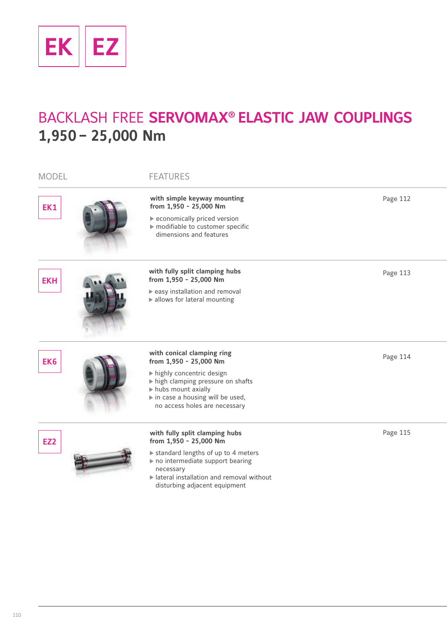

# BACKLASH FREE **SERVOMAX® ELASTIC JAW COUPLINGS 1,950– 25,000 Nm**

| <b>MODEL</b>    | <b>FEATURES</b>                                                                                                                                                                                                                         |          |
|-----------------|-----------------------------------------------------------------------------------------------------------------------------------------------------------------------------------------------------------------------------------------|----------|
| EK1             | with simple keyway mounting<br>from 1,950 - 25,000 Nm<br>economically priced version<br>modifiable to customer specific<br>dimensions and features                                                                                      | Page 112 |
| <b>EKH</b>      | with fully split clamping hubs<br>from 1,950 - 25,000 Nm<br>easy installation and removal<br>lallows for lateral mounting                                                                                                               | Page 113 |
| EK <sub>6</sub> | with conical clamping ring<br>from 1,950 - 25,000 Nm<br>highly concentric design<br>high clamping pressure on shafts<br>In hubs mount axially<br>$\blacktriangleright$ in case a housing will be used,<br>no access holes are necessary | Page 114 |
| EZ <sub>2</sub> | with fully split clamping hubs<br>from 1,950 - 25,000 Nm<br>Standard lengths of up to 4 meters<br>no intermediate support bearing<br>necessary<br>Interal installation and removal without<br>disturbing adjacent equipment             | Page 115 |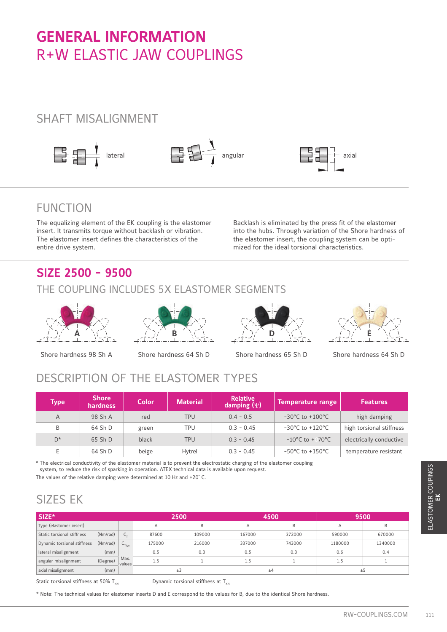# **GENERAL INFORMATION** R+W ELASTIC JAW COUPLINGS

### SHAFT MISALIGNMENT



### FUNCTION

The equalizing element of the EK coupling is the elastomer insert. It transmits torque without backlash or vibration. The elastomer insert defines the characteristics of the entire drive system.

Backlash is eliminated by the press fit of the elastomer into the hubs. Through variation of the Shore hardness of the elastomer insert, the coupling system can be optimized for the ideal torsional characteristics.

# **SIZE 2500 - 9500**

### THE COUPLING INCLUDES 5X ELASTOMER SEGMENTS





Shore hardness 98 Sh A Shore hardness 64 Sh D Shore hardness 65 Sh D







Shore hardness 64 Sh D

# DESCRIPTION OF THE ELASTOMER TYPES

| <b>Type</b> | <b>Shore</b><br><b>hardness</b> | <b>Color</b> | <b>Material</b> | <b>Relative</b><br>damping $(\Psi)$ | <b>Temperature range</b>            | <b>Features</b>          |
|-------------|---------------------------------|--------------|-----------------|-------------------------------------|-------------------------------------|--------------------------|
| A           | 98 Sh A                         | red          | <b>TPU</b>      | $0.4 - 0.5$                         | $-30^{\circ}$ C to $+100^{\circ}$ C | high damping             |
| B           | 64 Sh D                         | green        | TPU             | $0.3 - 0.45$                        | $-30^{\circ}$ C to $+120^{\circ}$ C | high torsional stiffness |
| $D^*$       | $65$ Sh D                       | black        | <b>TPU</b>      | $0.3 - 0.45$                        | $-10^{\circ}$ C to $+070^{\circ}$ C | electrically conductive  |
| E           | 64 Sh D                         | beige        | Hytrel          | $0.3 - 0.45$                        | $-50^{\circ}$ C to $+150^{\circ}$ C | temperature resistant    |

\* The electrical conductivity of the elastomer material is to prevent the electrostatic charging of the elastomer coupling system, to reduce the risk of sparking in operation. ATEX technical data is available upon request.

### SIZES EK

| SIZE*                       |          |                   |        | 2500   |        | 4500   |         | 9500    |
|-----------------------------|----------|-------------------|--------|--------|--------|--------|---------|---------|
| Type (elastomer insert)     |          |                   | A      | B      | A      | B      | Α       | B       |
| Static torsional stiffness  | (Nm/rad) | $C_{\tau}$        | 87600  | 109000 | 167000 | 372000 | 590000  | 670000  |
| Dynamic torsional stiffness | (Nm/rad) | $C_{\text{rtwn}}$ | 175000 | 216000 | 337000 | 743000 | 1180000 | 1340000 |
| lateral misalignment        | (mm)     |                   | 0.5    | 0.3    | 0.5    | 0.3    | 0.6     | 0.4     |
| angular misalignment        | (Degree) | Max.<br>values    | 1.5    |        | 1.5    | 1      | 1.5     | 1       |
| axial misalignment          | (mm)     |                   |        | ±3     |        | ±4     | ±5      |         |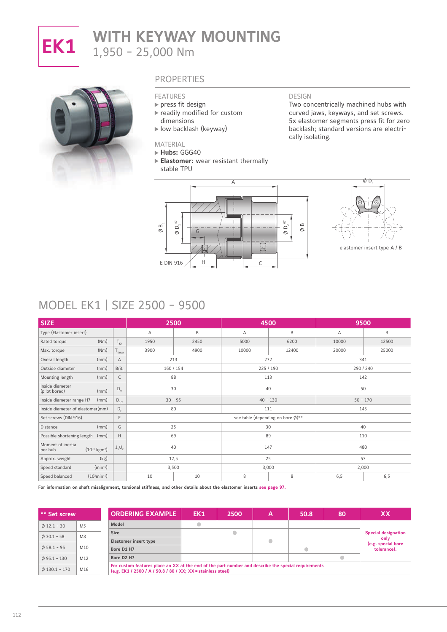

# **EK1** WITH KEYWAY MOUNTING 1,950 - 25,000 Nm



#### **PROPERTIES**

#### FEATURES

- $\rightharpoonup$  press fit design
- readily modified for custom dimensions
- low backlash (keyway)

#### MATERIAL

#### **Hubs:** GGG40

 $\emptyset$  D<sub>1</sub>H7

 $\emptyset$  B,

**Elastomer:** wear resistant thermally stable TPU

A

#### DESIGN

Two concentrically machined hubs with curved jaws, keyways, and set screws. 5x elastomer segments press fit for zero backlash; standard versions are electrically isolating.





### MODEL EK1 | SIZE 2500 - 9500

| <b>SIZE</b>                                               |                             |      | 2500      | 4500  |                                   |           | 9500       |  |
|-----------------------------------------------------------|-----------------------------|------|-----------|-------|-----------------------------------|-----------|------------|--|
| Type (Elastomer insert)                                   |                             | Α    | B         | Α     | B                                 | Α         | B          |  |
| (Nm)<br>Rated torque                                      | $T_{\kappa N}$              | 1950 | 2450      | 5000  | 6200                              | 10000     | 12500      |  |
| (Nm)<br>Max. torque                                       | $T_{Kmax}$                  | 3900 | 4900      | 10000 | 12400                             | 20000     | 25000      |  |
| (mm)<br>Overall length                                    | $\overline{A}$              | 213  |           | 272   |                                   | 341       |            |  |
| (mm)<br>Outside diameter                                  | $B/B_1$                     |      | 160 / 154 |       | 225 / 190                         | 290 / 240 |            |  |
| (mm)<br>Mounting length                                   | C                           | 88   |           | 113   |                                   |           | 142        |  |
| Inside diameter<br>(pilot bored)<br>(mm)                  | $D_v$                       |      | 30        | 40    |                                   | 50        |            |  |
| Inside diameter range H7<br>(mm)                          | $D_{1/2}$                   |      | $30 - 95$ |       | $40 - 130$                        |           | $50 - 170$ |  |
| Inside diameter of elastomer(mm)                          | $D_{E}$                     | 80   |           | 111   |                                   | 145       |            |  |
| Set screws (DIN 916)                                      | E                           |      |           |       | see table (depending on bore Ø)** |           |            |  |
| (mm)<br>Distance                                          | G                           | 25   |           |       | 30                                | 40        |            |  |
| Possible shortening length<br>(mm)                        | Н                           | 69   |           | 89    |                                   |           | 110        |  |
| Moment of inertia<br>$(10^{-3} \text{ kgm}^2)$<br>per hub | $\mathsf{J}_1/\mathsf{J}_2$ | 40   |           | 147   |                                   |           | 480        |  |
| (kg)<br>Approx. weight                                    |                             |      | 12,5      | 25    |                                   | 53        |            |  |
| $(min^{-1})$<br>Speed standard                            |                             |      | 3,500     |       | 3,000                             |           | 2,000      |  |
| $(103min-1)$<br>Speed balanced                            |                             | 10   | 10        | 8     | 8                                 | 6, 5      | 6, 5       |  |

**For information on shaft misalignment, torsional stiffness, and other details about the elastomer inserts see page 97.** 

| ** Set screw            |                | <b>ORDERING EXAMPLE</b>                                                                                                                                             | EK1 | 2500      | Α | 50.8 | 80 | XX                         |
|-------------------------|----------------|---------------------------------------------------------------------------------------------------------------------------------------------------------------------|-----|-----------|---|------|----|----------------------------|
| $\emptyset$ 12.1 - 30   | M <sub>5</sub> | <b>Model</b>                                                                                                                                                        |     |           |   |      |    |                            |
| $\emptyset$ 30.1 - 58   | M <sub>8</sub> | <b>Size</b>                                                                                                                                                         |     | $\bullet$ |   |      |    | <b>Special designation</b> |
|                         |                | Elastomer insert type                                                                                                                                               |     |           |   |      |    | only<br>(e.g. special bore |
| $\emptyset$ 58.1 - 95   | M10            | Bore D1 H7                                                                                                                                                          |     |           |   |      |    | tolerance).                |
| $\emptyset$ 95.1 - 130  | M12            | Bore D <sub>2</sub> H <sub>7</sub>                                                                                                                                  |     |           |   |      |    |                            |
| $\emptyset$ 130.1 - 170 | M16            | For custom features place an XX at the end of the part number and describe the special requirements<br>(e.g. EK1 / 2500 / A / 50.8 / 80 / XX; XX = stainless steel) |     |           |   |      |    |                            |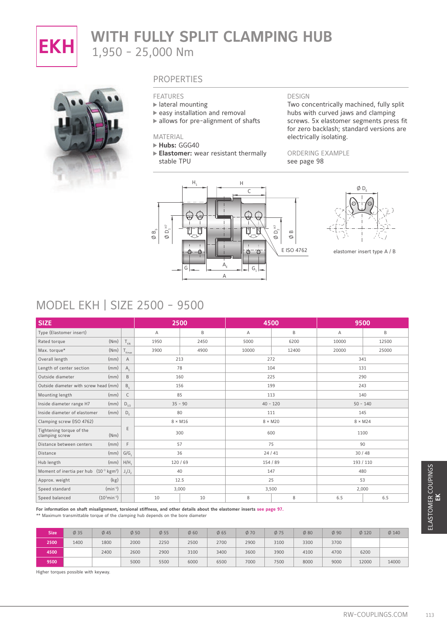

# **EKH** WITH FULLY SPLIT CLAMPING HUB 1,950 - 25,000 Nm



#### **PROPERTIES**

#### FEATURES

- lateral mounting
- $\triangleright$  easy installation and removal
- $\blacktriangleright$  allows for pre-alignment of shafts

#### MATERIAL

**Hubs:** GGG40

**Elastomer:** wear resistant thermally stable TPU



Two concentrically machined, fully split hubs with curved jaws and clamping screws. 5x elastomer segments press fit for zero backlash; standard versions are electrically isolating.

ORDERING EXAMPLE see page 98





elastomer insert type A / B

### MODEL EKH | SIZE 2500 - 9500

| <b>SIZE</b>             |                                                     |                |                                         |                                                                                                                                                                                                                          | 2500      |      | 4500     |                |                |           | 9500           |         |  |
|-------------------------|-----------------------------------------------------|----------------|-----------------------------------------|--------------------------------------------------------------------------------------------------------------------------------------------------------------------------------------------------------------------------|-----------|------|----------|----------------|----------------|-----------|----------------|---------|--|
| Type (Elastomer insert) |                                                     |                |                                         | Α                                                                                                                                                                                                                        | B         |      | Α        |                | $\mathsf B$    | Α         |                | B       |  |
| Rated torque            |                                                     | (Nm)           | $T_{KN}$                                | 1950                                                                                                                                                                                                                     | 2450      |      | 5000     |                | 6200           | 10000     |                | 12500   |  |
| Max. torque*            |                                                     | (Nm)           | $T_{Kmax}$                              | 3900                                                                                                                                                                                                                     | 4900      |      | 10000    |                | 12400          | 20000     |                | 25000   |  |
| Overall length          |                                                     | (mm)           | $\mathsf A$                             |                                                                                                                                                                                                                          | 213       |      | 272      |                |                | 341       |                |         |  |
|                         | Length of center section                            | (mm)           | $\mathsf{A}_{\varepsilon}$              |                                                                                                                                                                                                                          | 78        |      | 104      |                |                | 131       |                |         |  |
| Outside diameter        |                                                     | (mm)           | $\mathsf B$                             |                                                                                                                                                                                                                          | 160       |      | 225      |                |                | 290       |                |         |  |
|                         | Outside diameter with screw head (mm)               |                | $B_c$                                   |                                                                                                                                                                                                                          | 156       |      |          | 199            |                |           | 243            |         |  |
| Mounting length         |                                                     | (mm)           | $\mathsf{C}$                            |                                                                                                                                                                                                                          | 85        |      | 113      |                |                |           | 140            |         |  |
|                         | Inside diameter range H7                            | (mm)           | $D_{1/2}$                               |                                                                                                                                                                                                                          | $35 - 90$ |      |          | $40 - 120$     |                |           | $50 - 140$     |         |  |
|                         | Inside diameter of elastomer                        | (mm)           | $\mathsf{D}_{\scriptscriptstyle \sf F}$ |                                                                                                                                                                                                                          | 80        |      |          | 111            |                |           | 145            |         |  |
|                         | Clamping screw (ISO 4762)                           |                |                                         | $8 \times M16$                                                                                                                                                                                                           |           |      |          | $8 \times M20$ |                |           | $8 \times M24$ |         |  |
| clamping screw          | Tightening torque of the                            | (Nm)           | $\mathsf E$                             |                                                                                                                                                                                                                          | 300       |      | 600      |                |                | 1100      |                |         |  |
|                         | Distance between centers                            | (mm)           | E                                       |                                                                                                                                                                                                                          | 57        |      | 75       |                |                | 90        |                |         |  |
| Distance                |                                                     | (mm)           | G/G                                     |                                                                                                                                                                                                                          | 36        |      | 24/41    |                |                | 30/48     |                |         |  |
| Hub length              |                                                     | (mm)           | H/H                                     |                                                                                                                                                                                                                          | 120/69    |      | 154 / 89 |                |                | 193 / 110 |                |         |  |
|                         | Moment of inertia per hub $(10^{-3} \text{ kgm}^2)$ |                | $J_1/J_2$                               |                                                                                                                                                                                                                          | 40        |      |          | 147            |                |           | 480            |         |  |
| Approx. weight          |                                                     | (kg)           |                                         |                                                                                                                                                                                                                          | 12.5      |      | 25       |                |                |           | 53             |         |  |
| Speed standard          |                                                     | $(min^{-1})$   |                                         |                                                                                                                                                                                                                          | 3,000     |      | 3,500    |                |                |           | 2,000          |         |  |
| Speed balanced          |                                                     | $(103min-1)$   |                                         | 10                                                                                                                                                                                                                       | 10        |      | 8        |                | 8              | 6.5       |                | 6.5     |  |
|                         | $\emptyset$ 35                                      | $\emptyset$ 45 |                                         | For information on shaft misalignment, torsional stiffness, and other details about the elastomer inserts see page 97.<br>** Maximum transmittable torque of the clamping hub depends on the bore diameter<br>Ø50<br>Ø55 | Ø60       | Ø65  | Ø70      | Ø75            | $\emptyset$ 80 | Ø90       | $Ø$ 120        | $Ø$ 140 |  |
| <b>Size</b>             |                                                     |                |                                         |                                                                                                                                                                                                                          |           |      |          |                |                |           |                |         |  |
| 2500                    | 1400                                                | 1800           |                                         | 2000<br>2250                                                                                                                                                                                                             | 2500      | 2700 | 2900     | 3100           | 3300           | 3700      |                |         |  |
| 4500                    |                                                     | 2400           |                                         | 2900<br>2600                                                                                                                                                                                                             | 3100      | 3400 | 3600     | 3900           | 4100           | 4700      | 6200           |         |  |
| 9500                    |                                                     |                |                                         | 5000<br>5500                                                                                                                                                                                                             | 6000      | 6500 | 7000     | 7500           | 8000           | 9000      | 12000          | 14000   |  |

| <b>Size</b> | $\phi$ 35 | $\emptyset$ 45 | $\phi$ 50 | $\phi$ 55 | $\emptyset$ 60 | $\emptyset$ 65 | Ø70  | Ø75  | $\phi$ 80 | $\phi$ 90 | $\phi$ 120 | $\phi$ 140 |
|-------------|-----------|----------------|-----------|-----------|----------------|----------------|------|------|-----------|-----------|------------|------------|
| 2500        | 1400      | 1800           | 2000      | 2250      | 2500           | 2700           | 2900 | 3100 | 3300      | 3700      |            |            |
| 4500        |           | 2400           | 2600      | 2900      | 3100           | 3400           | 3600 | 3900 | 4100      | 4700      | 6200       |            |
| 9500        |           |                | 5000      | 5500      | 6000           | 6500           | 7000 | 7500 | 8000      | 9000      | 12000      | 14000      |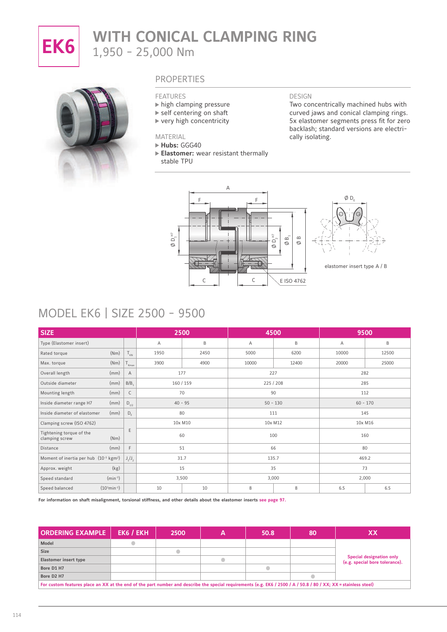

# **EK6** WITH CONICAL CLAMPING RING 1,950 - 25,000 Nm



#### PROPERTIES

#### FEATURES

- $\blacktriangleright$  high clamping pressure
- ▶ self centering on shaft
- $\blacktriangleright$  very high concentricity
- MATERIAL

#### **Hubs:** GGG40

**Elastomer:** wear resistant thermally stable TPU

#### DESIGN

Two concentrically machined hubs with curved jaws and conical clamping rings. 5x elastomer segments press fit for zero backlash; standard versions are electrically isolating.





elastomer insert type A / B

### MODEL EK6 | SIZE 2500 - 9500

| <b>SIZE</b>                                         |                          |                   | 2500      |      |       | 4500       | 9500       |         |  |
|-----------------------------------------------------|--------------------------|-------------------|-----------|------|-------|------------|------------|---------|--|
| Type (Elastomer insert)                             |                          |                   | Α         | B    | Α     | B          | Α          | B       |  |
| Rated torque                                        | (Nm)                     | $T_{KN}$          | 1950      | 2450 | 5000  | 6200       | 10000      | 12500   |  |
| Max. torque                                         | (Nm)                     | $T_{\text{Kmax}}$ | 3900      | 4900 | 10000 | 12400      | 20000      | 25000   |  |
| Overall length                                      | (mm)                     | A                 | 177       |      |       | 227        | 282        |         |  |
| Outside diameter                                    | (mm)                     | B/B               | 160/159   |      |       | 225 / 208  | 285        |         |  |
| Mounting length                                     | (mm)                     | $\mathsf{C}$      | 70        |      |       | 90         | 112        |         |  |
| Inside diameter range H7                            | (mm)                     | $D_{1/2}$         | $40 - 95$ |      |       | $50 - 130$ | $60 - 170$ |         |  |
| Inside diameter of elastomer                        | (mm)                     | $D_F$             | 80        |      |       | 111        |            | 145     |  |
| Clamping screw (ISO 4762)                           |                          |                   | 10x M10   |      |       | 10x M12    |            | 10x M16 |  |
| Tightening torque of the<br>clamping screw          | (Nm)                     | E                 | 60        |      |       | 100        | 160        |         |  |
| Distance                                            | (mm)                     | F                 | 51        |      |       | 66         |            | 80      |  |
| Moment of inertia per hub $(10^{-3} \text{ kgm}^2)$ |                          | $J_1/J_2$         | 31.7      |      |       | 135.7      |            | 469.2   |  |
| Approx. weight                                      | (kg)                     |                   | 15        |      |       | 35         |            | 73      |  |
| Speed standard                                      | $(min^{-1})$             |                   | 3,500     |      |       | 3,000      | 2,000      |         |  |
| Speed balanced                                      | $(10^3 \text{min}^{-1})$ |                   | 10        | 10   | 8     | 8          | 6.5        | 6.5     |  |

**For information on shaft misalignment, torsional stiffness, and other details about the elastomer inserts see page 97.** 

| <b>ORDERING EXAMPLE</b>                                                                                                                                          | EK6 / EKH | 2500 | 50.8 | 80 | XХ                                                                |
|------------------------------------------------------------------------------------------------------------------------------------------------------------------|-----------|------|------|----|-------------------------------------------------------------------|
| Model                                                                                                                                                            |           |      |      |    |                                                                   |
| <b>Size</b>                                                                                                                                                      |           |      |      |    |                                                                   |
| Elastomer insert type                                                                                                                                            |           |      |      |    | <b>Special designation only</b><br>(e.g. special bore tolerance). |
| Bore D1 H7                                                                                                                                                       |           |      |      |    |                                                                   |
| Bore D <sub>2</sub> H <sub>7</sub>                                                                                                                               |           |      |      |    |                                                                   |
| For custom features place an XX at the end of the part number and describe the special requirements (e.g. EK6 / 2500 / A / 50.8 / 80 / XX; XX = stainless steel) |           |      |      |    |                                                                   |